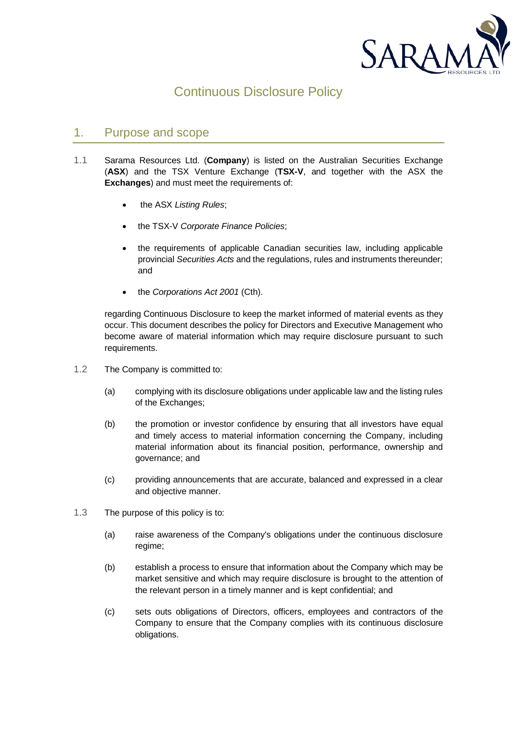

# Continuous Disclosure Policy

# 1. Purpose and scope

- 1.1 Sarama Resources Ltd. (**Company**) is listed on the Australian Securities Exchange (**ASX**) and the TSX Venture Exchange (**TSX-V**, and together with the ASX the **Exchanges**) and must meet the requirements of:
	- the ASX *Listing Rules*;
	- the TSX-V *Corporate Finance Policies*;
	- the requirements of applicable Canadian securities law, including applicable provincial *Securities Acts* and the regulations, rules and instruments thereunder; and
	- the *Corporations Act 2001* (Cth).

regarding Continuous Disclosure to keep the market informed of material events as they occur. This document describes the policy for Directors and Executive Management who become aware of material information which may require disclosure pursuant to such requirements.

- 1.2 The Company is committed to:
	- (a) complying with its disclosure obligations under applicable law and the listing rules of the Exchanges;
	- (b) the promotion or investor confidence by ensuring that all investors have equal and timely access to material information concerning the Company, including material information about its financial position, performance, ownership and governance; and
	- (c) providing announcements that are accurate, balanced and expressed in a clear and objective manner.
- 1.3 The purpose of this policy is to:
	- (a) raise awareness of the Company's obligations under the continuous disclosure regime;
	- (b) establish a process to ensure that information about the Company which may be market sensitive and which may require disclosure is brought to the attention of the relevant person in a timely manner and is kept confidential; and
	- (c) sets outs obligations of Directors, officers, employees and contractors of the Company to ensure that the Company complies with its continuous disclosure obligations.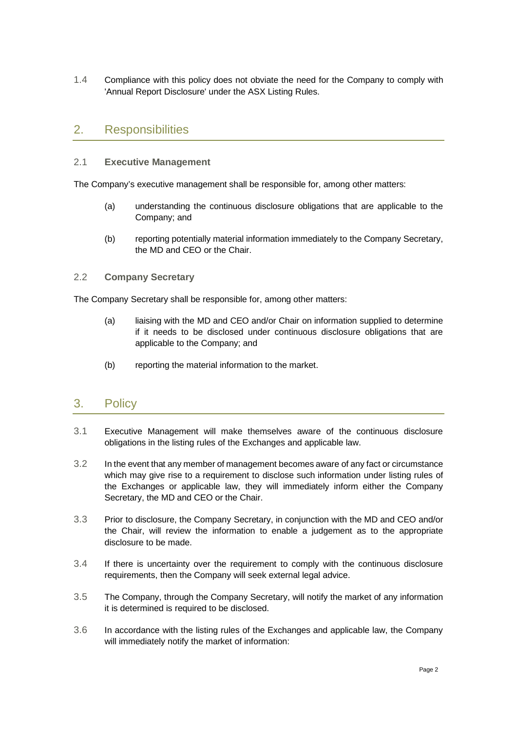1.4 Compliance with this policy does not obviate the need for the Company to comply with 'Annual Report Disclosure' under the ASX Listing Rules.

# 2. Responsibilities

### 2.1 **Executive Management**

The Company's executive management shall be responsible for, among other matters:

- (a) understanding the continuous disclosure obligations that are applicable to the Company; and
- (b) reporting potentially material information immediately to the Company Secretary, the MD and CEO or the Chair.

### 2.2 **Company Secretary**

The Company Secretary shall be responsible for, among other matters:

- (a) liaising with the MD and CEO and/or Chair on information supplied to determine if it needs to be disclosed under continuous disclosure obligations that are applicable to the Company; and
- (b) reporting the material information to the market.

### 3. Policy

- 3.1 Executive Management will make themselves aware of the continuous disclosure obligations in the listing rules of the Exchanges and applicable law.
- 3.2 In the event that any member of management becomes aware of any fact or circumstance which may give rise to a requirement to disclose such information under listing rules of the Exchanges or applicable law, they will immediately inform either the Company Secretary, the MD and CEO or the Chair.
- 3.3 Prior to disclosure, the Company Secretary, in conjunction with the MD and CEO and/or the Chair, will review the information to enable a judgement as to the appropriate disclosure to be made.
- 3.4 If there is uncertainty over the requirement to comply with the continuous disclosure requirements, then the Company will seek external legal advice.
- 3.5 The Company, through the Company Secretary, will notify the market of any information it is determined is required to be disclosed.
- 3.6 In accordance with the listing rules of the Exchanges and applicable law, the Company will immediately notify the market of information: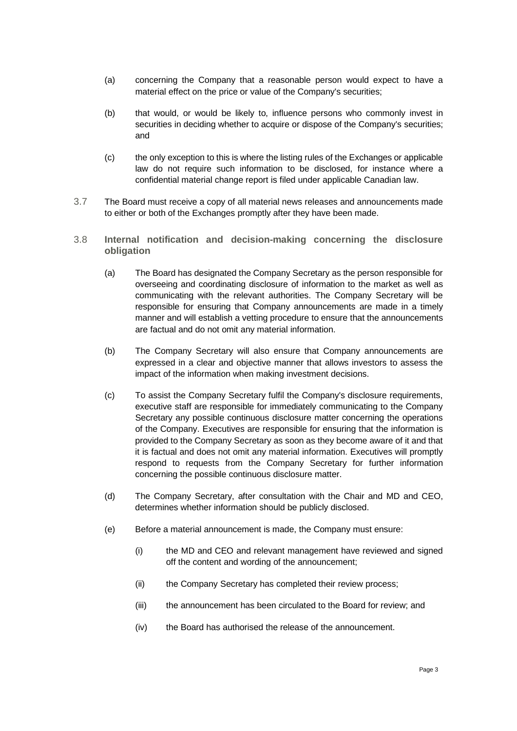- (a) concerning the Company that a reasonable person would expect to have a material effect on the price or value of the Company's securities;
- (b) that would, or would be likely to, influence persons who commonly invest in securities in deciding whether to acquire or dispose of the Company's securities; and
- (c) the only exception to this is where the listing rules of the Exchanges or applicable law do not require such information to be disclosed, for instance where a confidential material change report is filed under applicable Canadian law.
- 3.7 The Board must receive a copy of all material news releases and announcements made to either or both of the Exchanges promptly after they have been made.
- 3.8 **Internal notification and decision-making concerning the disclosure obligation**
	- (a) The Board has designated the Company Secretary as the person responsible for overseeing and coordinating disclosure of information to the market as well as communicating with the relevant authorities. The Company Secretary will be responsible for ensuring that Company announcements are made in a timely manner and will establish a vetting procedure to ensure that the announcements are factual and do not omit any material information.
	- (b) The Company Secretary will also ensure that Company announcements are expressed in a clear and objective manner that allows investors to assess the impact of the information when making investment decisions.
	- (c) To assist the Company Secretary fulfil the Company's disclosure requirements, executive staff are responsible for immediately communicating to the Company Secretary any possible continuous disclosure matter concerning the operations of the Company. Executives are responsible for ensuring that the information is provided to the Company Secretary as soon as they become aware of it and that it is factual and does not omit any material information. Executives will promptly respond to requests from the Company Secretary for further information concerning the possible continuous disclosure matter.
	- (d) The Company Secretary, after consultation with the Chair and MD and CEO, determines whether information should be publicly disclosed.
	- (e) Before a material announcement is made, the Company must ensure:
		- (i) the MD and CEO and relevant management have reviewed and signed off the content and wording of the announcement;
		- (ii) the Company Secretary has completed their review process;
		- (iii) the announcement has been circulated to the Board for review; and
		- (iv) the Board has authorised the release of the announcement.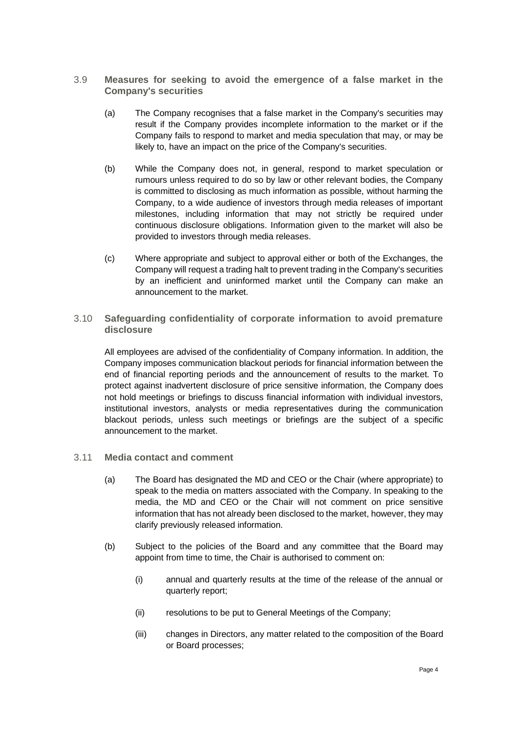- 3.9 **Measures for seeking to avoid the emergence of a false market in the Company's securities**
	- (a) The Company recognises that a false market in the Company's securities may result if the Company provides incomplete information to the market or if the Company fails to respond to market and media speculation that may, or may be likely to, have an impact on the price of the Company's securities.
	- (b) While the Company does not, in general, respond to market speculation or rumours unless required to do so by law or other relevant bodies, the Company is committed to disclosing as much information as possible, without harming the Company, to a wide audience of investors through media releases of important milestones, including information that may not strictly be required under continuous disclosure obligations. Information given to the market will also be provided to investors through media releases.
	- (c) Where appropriate and subject to approval either or both of the Exchanges, the Company will request a trading halt to prevent trading in the Company's securities by an inefficient and uninformed market until the Company can make an announcement to the market.
- 3.10 **Safeguarding confidentiality of corporate information to avoid premature disclosure**

All employees are advised of the confidentiality of Company information. In addition, the Company imposes communication blackout periods for financial information between the end of financial reporting periods and the announcement of results to the market. To protect against inadvertent disclosure of price sensitive information, the Company does not hold meetings or briefings to discuss financial information with individual investors, institutional investors, analysts or media representatives during the communication blackout periods, unless such meetings or briefings are the subject of a specific announcement to the market.

- 3.11 **Media contact and comment**
	- (a) The Board has designated the MD and CEO or the Chair (where appropriate) to speak to the media on matters associated with the Company. In speaking to the media, the MD and CEO or the Chair will not comment on price sensitive information that has not already been disclosed to the market, however, they may clarify previously released information.
	- (b) Subject to the policies of the Board and any committee that the Board may appoint from time to time, the Chair is authorised to comment on:
		- (i) annual and quarterly results at the time of the release of the annual or quarterly report;
		- (ii) resolutions to be put to General Meetings of the Company;
		- (iii) changes in Directors, any matter related to the composition of the Board or Board processes;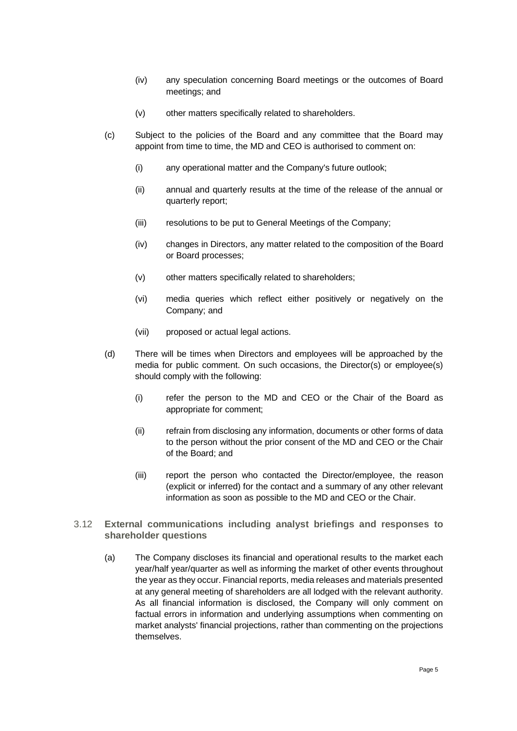- (iv) any speculation concerning Board meetings or the outcomes of Board meetings; and
- (v) other matters specifically related to shareholders.
- (c) Subject to the policies of the Board and any committee that the Board may appoint from time to time, the MD and CEO is authorised to comment on:
	- (i) any operational matter and the Company's future outlook;
	- (ii) annual and quarterly results at the time of the release of the annual or quarterly report;
	- (iii) resolutions to be put to General Meetings of the Company;
	- (iv) changes in Directors, any matter related to the composition of the Board or Board processes;
	- (v) other matters specifically related to shareholders;
	- (vi) media queries which reflect either positively or negatively on the Company; and
	- (vii) proposed or actual legal actions.
- (d) There will be times when Directors and employees will be approached by the media for public comment. On such occasions, the Director(s) or employee(s) should comply with the following:
	- (i) refer the person to the MD and CEO or the Chair of the Board as appropriate for comment;
	- (ii) refrain from disclosing any information, documents or other forms of data to the person without the prior consent of the MD and CEO or the Chair of the Board; and
	- (iii) report the person who contacted the Director/employee, the reason (explicit or inferred) for the contact and a summary of any other relevant information as soon as possible to the MD and CEO or the Chair.
- 3.12 **External communications including analyst briefings and responses to shareholder questions**
	- (a) The Company discloses its financial and operational results to the market each year/half year/quarter as well as informing the market of other events throughout the year as they occur. Financial reports, media releases and materials presented at any general meeting of shareholders are all lodged with the relevant authority. As all financial information is disclosed, the Company will only comment on factual errors in information and underlying assumptions when commenting on market analysts' financial projections, rather than commenting on the projections themselves.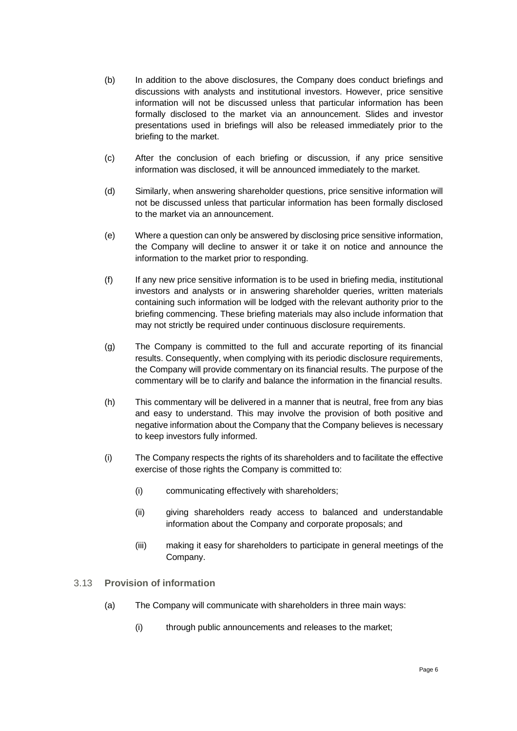- (b) In addition to the above disclosures, the Company does conduct briefings and discussions with analysts and institutional investors. However, price sensitive information will not be discussed unless that particular information has been formally disclosed to the market via an announcement. Slides and investor presentations used in briefings will also be released immediately prior to the briefing to the market.
- (c) After the conclusion of each briefing or discussion, if any price sensitive information was disclosed, it will be announced immediately to the market.
- (d) Similarly, when answering shareholder questions, price sensitive information will not be discussed unless that particular information has been formally disclosed to the market via an announcement.
- (e) Where a question can only be answered by disclosing price sensitive information, the Company will decline to answer it or take it on notice and announce the information to the market prior to responding.
- (f) If any new price sensitive information is to be used in briefing media, institutional investors and analysts or in answering shareholder queries, written materials containing such information will be lodged with the relevant authority prior to the briefing commencing. These briefing materials may also include information that may not strictly be required under continuous disclosure requirements.
- (g) The Company is committed to the full and accurate reporting of its financial results. Consequently, when complying with its periodic disclosure requirements, the Company will provide commentary on its financial results. The purpose of the commentary will be to clarify and balance the information in the financial results.
- (h) This commentary will be delivered in a manner that is neutral, free from any bias and easy to understand. This may involve the provision of both positive and negative information about the Company that the Company believes is necessary to keep investors fully informed.
- (i) The Company respects the rights of its shareholders and to facilitate the effective exercise of those rights the Company is committed to:
	- (i) communicating effectively with shareholders;
	- (ii) giving shareholders ready access to balanced and understandable information about the Company and corporate proposals; and
	- (iii) making it easy for shareholders to participate in general meetings of the Company.
- 3.13 **Provision of information**
	- (a) The Company will communicate with shareholders in three main ways:
		- (i) through public announcements and releases to the market;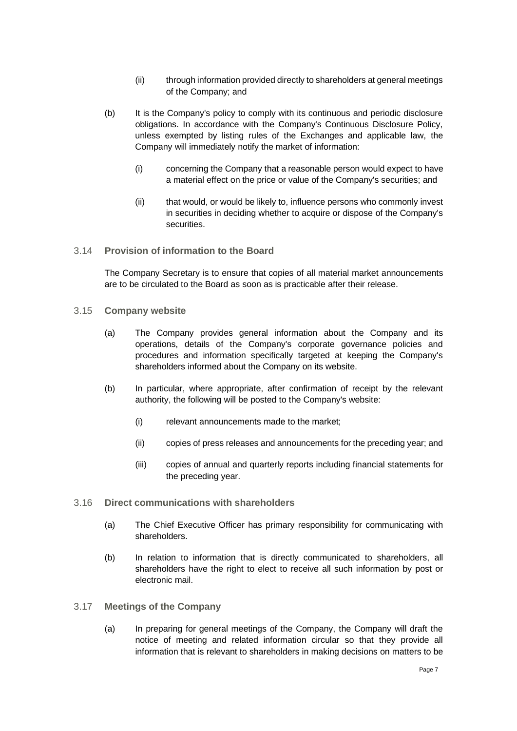- (ii) through information provided directly to shareholders at general meetings of the Company; and
- (b) It is the Company's policy to comply with its continuous and periodic disclosure obligations. In accordance with the Company's Continuous Disclosure Policy, unless exempted by listing rules of the Exchanges and applicable law, the Company will immediately notify the market of information:
	- (i) concerning the Company that a reasonable person would expect to have a material effect on the price or value of the Company's securities; and
	- (ii) that would, or would be likely to, influence persons who commonly invest in securities in deciding whether to acquire or dispose of the Company's securities.
- 3.14 **Provision of information to the Board**

The Company Secretary is to ensure that copies of all material market announcements are to be circulated to the Board as soon as is practicable after their release.

- 3.15 **Company website**
	- (a) The Company provides general information about the Company and its operations, details of the Company's corporate governance policies and procedures and information specifically targeted at keeping the Company's shareholders informed about the Company on its website.
	- (b) In particular, where appropriate, after confirmation of receipt by the relevant authority, the following will be posted to the Company's website:
		- (i) relevant announcements made to the market;
		- (ii) copies of press releases and announcements for the preceding year; and
		- (iii) copies of annual and quarterly reports including financial statements for the preceding year.
- 3.16 **Direct communications with shareholders**
	- (a) The Chief Executive Officer has primary responsibility for communicating with shareholders.
	- (b) In relation to information that is directly communicated to shareholders, all shareholders have the right to elect to receive all such information by post or electronic mail.
- 3.17 **Meetings of the Company**
	- (a) In preparing for general meetings of the Company, the Company will draft the notice of meeting and related information circular so that they provide all information that is relevant to shareholders in making decisions on matters to be